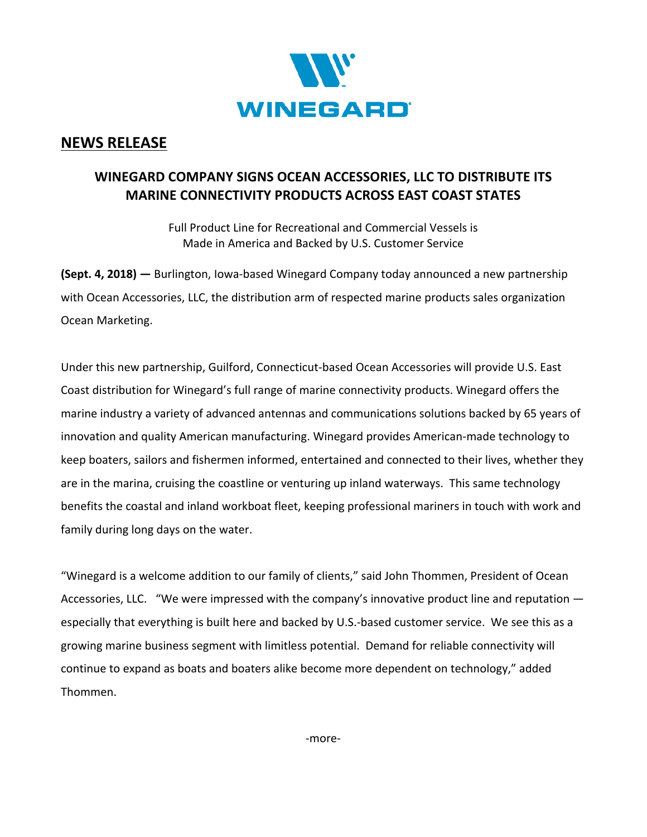

## **NEWS RELEASE**

## **WINEGARD COMPANY SIGNS OCEAN ACCESSORIES, LLC TO DISTRIBUTE ITS MARINE CONNECTIVITY PRODUCTS ACROSS EAST COAST STATES**

Full Product Line for Recreational and Commercial Vessels is Made in America and Backed by U.S. Customer Service

**(Sept. 4, 2018) —** Burlington, Iowa-based Winegard Company today announced a new partnership with Ocean Accessories, LLC, the distribution arm of respected marine products sales organization Ocean Marketing.

Under this new partnership, Guilford, Connecticut-based Ocean Accessories will provide U.S. East Coast distribution for Winegard's full range of marine connectivity products. Winegard offers the marine industry a variety of advanced antennas and communications solutions backed by 65 years of innovation and quality American manufacturing. Winegard provides American-made technology to keep boaters, sailors and fishermen informed, entertained and connected to their lives, whether they are in the marina, cruising the coastline or venturing up inland waterways. This same technology benefits the coastal and inland workboat fleet, keeping professional mariners in touch with work and family during long days on the water.

"Winegard is a welcome addition to our family of clients," said John Thommen, President of Ocean Accessories, LLC. "We were impressed with the company's innovative product line and reputation especially that everything is built here and backed by U.S.-based customer service. We see this as a growing marine business segment with limitless potential. Demand for reliable connectivity will continue to expand as boats and boaters alike become more dependent on technology," added Thommen.

-more-